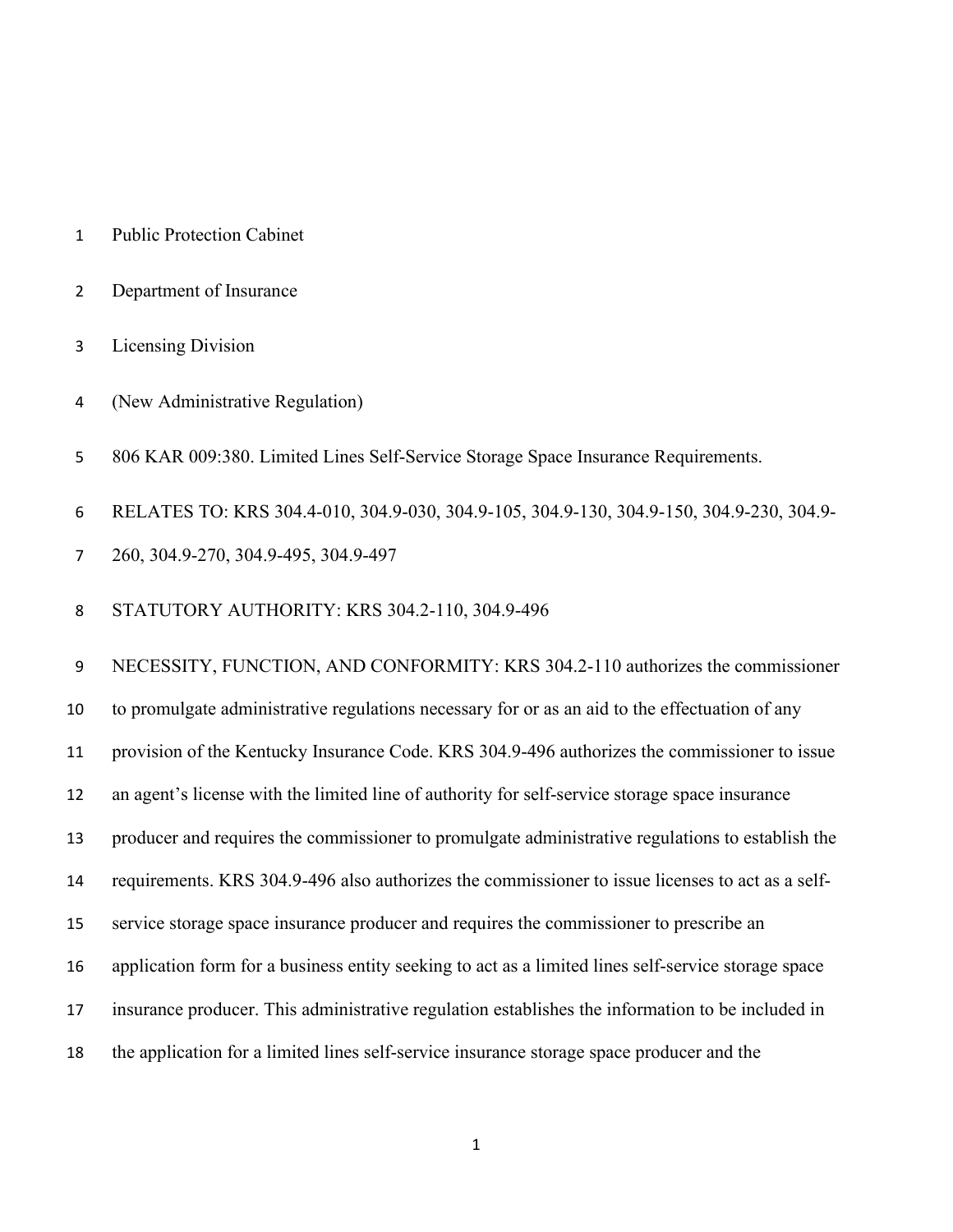- Public Protection Cabinet
- Department of Insurance
- Licensing Division
- (New Administrative Regulation)
- 806 KAR 009:380. Limited Lines Self-Service Storage Space Insurance Requirements.
- RELATES TO: KRS 304.4-010, 304.9-030, 304.9-105, 304.9-130, 304.9-150, 304.9-230, 304.9-
- 260, 304.9-270, 304.9-495, 304.9-497
- STATUTORY AUTHORITY: KRS 304.2-110, 304.9-496

 NECESSITY, FUNCTION, AND CONFORMITY: KRS 304.2-110 authorizes the commissioner to promulgate administrative regulations necessary for or as an aid to the effectuation of any provision of the Kentucky Insurance Code. KRS 304.9-496 authorizes the commissioner to issue an agent's license with the limited line of authority for self-service storage space insurance producer and requires the commissioner to promulgate administrative regulations to establish the requirements. KRS 304.9-496 also authorizes the commissioner to issue licenses to act as a self- service storage space insurance producer and requires the commissioner to prescribe an application form for a business entity seeking to act as a limited lines self-service storage space insurance producer. This administrative regulation establishes the information to be included in the application for a limited lines self-service insurance storage space producer and the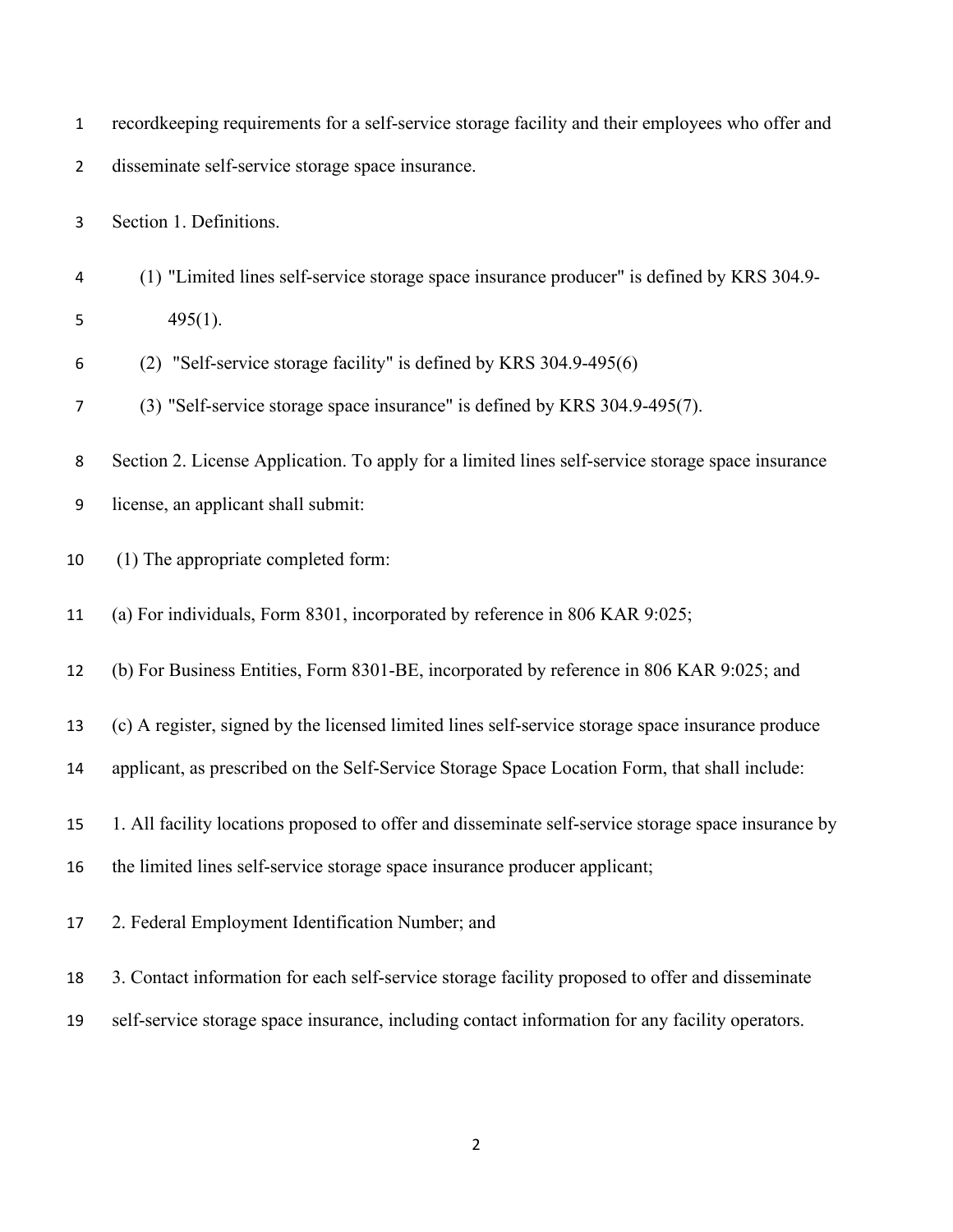|  |  |  | record keeping requirements for a self-service storage facility and their employees who offer and |  |  |  |
|--|--|--|---------------------------------------------------------------------------------------------------|--|--|--|
|  |  |  |                                                                                                   |  |  |  |

disseminate self-service storage space insurance.

Section 1. Definitions.

- (1) "Limited lines self-service storage space insurance producer" is defined by KRS 304.9- 495(1).
- (2) "Self-service storage facility" is defined by KRS 304.9-495(6)
- (3) "Self-service storage space insurance" is defined by KRS 304.9-495(7).
- Section 2. License Application. To apply for a limited lines self-service storage space insurance
- license, an applicant shall submit:
- (1) The appropriate completed form:
- (a) For individuals, Form 8301, incorporated by reference in 806 KAR 9:025;
- (b) For Business Entities, Form 8301-BE, incorporated by reference in 806 KAR 9:025; and
- (c) A register, signed by the licensed limited lines self-service storage space insurance produce
- applicant, as prescribed on the Self-Service Storage Space Location Form, that shall include:
- 1. All facility locations proposed to offer and disseminate self-service storage space insurance by
- the limited lines self-service storage space insurance producer applicant;
- 2. Federal Employment Identification Number; and
- 3. Contact information for each self-service storage facility proposed to offer and disseminate
- self-service storage space insurance, including contact information for any facility operators.